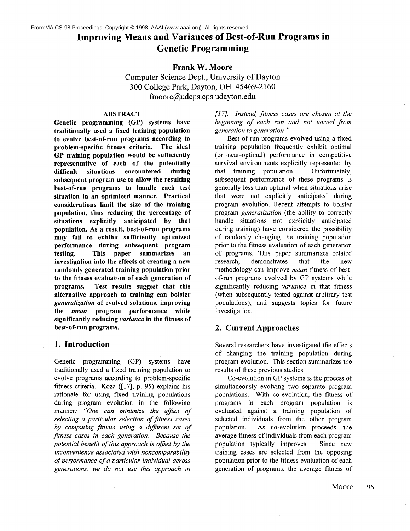# **Improving Means and Variances of Best-of-Run Programs in Genetic Programming**

### **Frank W. Moore**

**Computer Science Dept., University of Dayton 300 College Park, Dayton, OH 45469-2160 fmoore@udcps.cps.udayton.edu**

### **ABSTRACT**

**Genetic programming (GP) systems have traditionally used a fixed training population to evolve best-of-run programs according to problem-specific fitness criteria. The ideal GP training population would be sufficiently representative of each of the potentially difficult situations encountered during subsequent program use to allow the resulting best-of-run programs to handle each test situation in an optimized manner. Practical considerations limit the size of the training population, thus reducing the percentage of situations explicitly anticipated by that population. As a result, best-of-run programs may fail to exhibit sufficiently optimized performance during subsequent program testing. This paper summarizes an investigation into the effects of creating a new randomly generated training population prior to the fitness evaluation of each generation of programs. Test results suggest that this alternative approach to training can bolster** *generalization* **of evolved solutions, improving the** *mean* **program performance while significantly reducing** *variance* **in the fitness of best-of-run programs.**

#### **1. Introduction**

Genetic programming (GP) systems have traditionally used a fixed training population to evolve programs according to problem-specific fitness criteria. Koza ([17], p. 95) explains his rationale for using fixed training populations during program evolution in the following manner." *"One can minimize the effect of selecting a particular selection of fitness cases by computing fitness using a different set of fitness cases in each generation. Because the potential benefit of this approach is offset by the inconvenience associated with noncomparability of performance of a particular individual across generations, we do not use this approach in*

*[17]. Instead, fitness cases are chosen at the beginning of each run and not varied from generation to generation. '"*

Best-of-run programs evolved using a fixed training population frequently exhibit optimal (or near-optimal) performance in competitive survival environments explicitly represented by that training population. Unfortunately, subsequent performance of these programs is generally less than optimal when situations arise that were not explicitly anticipated during program evolution. Recent attempts to bolster program *generalization* (the ability to correctly handle situations not explicitly anticipated during training) have considered the possibility of randomly changing the training population prior to the fitness evaluation of each generation of programs. This paper summarizes related research, demonstrates that the new methodology can improve *mean* fitness of bestof-run programs evolved by GP systems while significantly reducing *variance* in that fitness (when subsequently tested against arbitrary test populations), and suggests topics for future investigation.

### **2. Current Approaches**

Several researchers have investigated the effects of changing the training population during program evolution. This section summarizes the results of these previous studies.

Co-evolution in GP systems is the process of simultaneously evolving two separate program populations. With co-evolution, the fitness of programs in each program population is evaluated against a training population of selected individuals from the other program population. As co-evolution proceeds, the average fitness of individuals from each program population typically improves. Since new training cases are selected from the opposing population prior to the fitness evaluation of each generation of programs, the average fitness of

Moore 95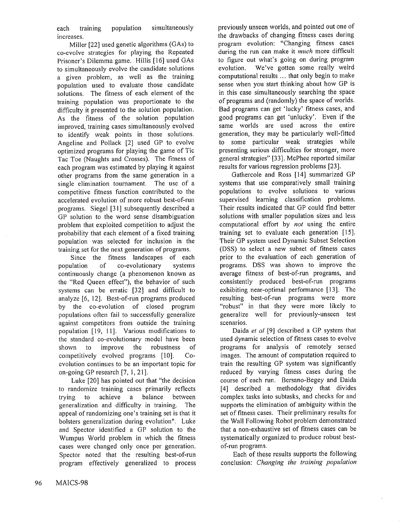each training population simultaneously increases.

Miller [22] used genetic algorithms (GAs) to co-evolve strategies for playing the Repeated Prisoner's Dilemma game. Hillis [16] used GAs to simultaneously evolve the candidate solutions a given problem, as well as the training population used to evaluate those candidate solutions. The fitness of each element of the training population was proportionate to the difficulty it presented to the solution population. As the fitness of the solution population improved, training cases simultaneously evolved to identify weak points in those solutions. Angeline and Pollack [2] used GP to evolve optimized programs for playing the game of Tic Tac Toe (Naughts and Crosses). The fitness of each program was estimated by playing it against other programs from the same generation in a single elimination tournament. The use of a competitive fitness function contributed to the accelerated evolution of more robust best-of-run programs. Siegel [31] subsequently described a GP solution to the word sense disambiguation problem that exploited competition to adjust the probability that each element of a fixed training population was selected for inclusion in the training set for the next generation of programs.

Since the fitness landscapes of each population of co-evolutionary systems continuously change (a phenomenon known as the "Red Queen effect"), the behavior of such systems can be erratic [32] and difficult to analyze [6, 12]. Best-of-run programs produced by the co-evolution of closed program populations often fail to successfully generalize against competitors from outside the training population [19, 11]. Various modifications to the standard co-evolutionary model have been shown to improve the robustness of competitively evolved programs [10]. Coevolution continues to be an important topic for on-going GP research [7, 1, 21].

Luke [20] has pointed out that "the decision to randomize training cases primarily reflects trying to achieve a balance between generalization and difficulty in training. The appeal of randomizing one's training set is that it bolsters generalization during evolution". Luke and Spector identified a GP solution to the Wumpus World problem in which the fitness cases were changed only once per generation. Spector noted that the resulting best-of-run program effectively generalized to process previously unseen worlds, and pointed out one of the drawbacks of changing fitness cases during program evolution: "Changing fitness cases during the run can make it *much* more difficult to figure out what's going on during program evolution. We've gotten some really weird computational results ... that only begin to make sense when you start thinking about how GP is in this case simultaneously searching the space of programs and (randomly) the space of worlds. Bad programs can get 'lucky' fitness cases, and good programs can get 'unlucky'. Even if the same worlds are used across the entire generation, they may be particularly well-fitted to some particular weak strategies while presenting serious difficulties for stronger, more general strategies" [33]. McPhee reported similar results for various regression problems [23].

Gathercole and Ross [14] summarized GP systems that use comparatively small training populations to evolve solutions to various supervised learning classification problems. Their results indicated that GP could find better solutions with smaller population sizes and less computational effort by *not* using the entire training set to evaluate each generation [15]. Their GP system used Dynamic Subset Selection (DSS) to select a new subset of fitness cases prior to the evaluation of each generation of programs. DSS was shown to improve the average fitness of best-of-run programs, and consistently produced best-of-run programs exhibiting near-optimal performance [13]. The resulting best-of-run programs were more "robust" in that they were more likely to generalize well for previously-unseen test scenarios.

Daida *et al* [9] described a GP system that used dynamic selection of fitness cases to evolve programs for analysis of remotely sensed images. The amount of computation required to train the resulting GP system was significantly reduced by varying fitness cases during the course of each run. Bersano-Begey and Daida [4] described a methodology that divides complex tasks into subtasks, and checks for and supports the elimination of ambiguity within the set of fitness cases. Their preliminary results for the Wall Following Robot problem demonstrated that a non-exhaustive set of fitness cases can be systematically organized to produce robust bestof-run programs.

Each of these results supports the following conclusion: *Changing the training population*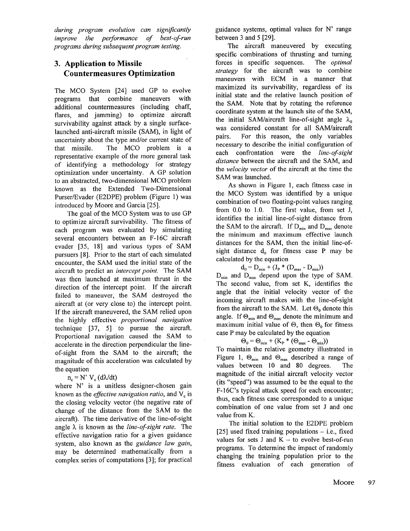*during program evolution can significantly improve the performance of best-of-run programs during subsequent program testing.*

# **3. Application to Missile Countermeasures Optimization**

The MCO System [24] used GP to evolve programs that combine maneuvers with additional countermeasures (including chaff, flares, and jamming) to optimize aircraft survivability against attack by a single surfacelaunched anti-aircraft missile (SAM), in light uncertainty about the type and/or current state of that missile. The MCO problem is a representative example of the more general task of identifying a methodology for strategy optimization under uncertainty. A GP solution to an abstracted, two-dimensional MCO problem known as the Extended Two-Dimensional Purser/Evader (E2DPE) problem (Figure 1) introduced by Moore and Garcia [25].

The goal of the MCO System was to use GP to optimize aircraft survivability. The fitness of each program was evaluated by simulating several encounters between an F-16C aircraft evader [35, 18] and various types of SAM pursuers [8]. Prior to the start of each simulated encounter, the SAM used the initial state of the aircraft to predict an *intercept point.* The SAM was then launched at maximum thrust in the direction of the intercept point. If the aircraft failed to maneuver, the SAM destroyed the aircraft at (or very close to) the intercept point. If the aircraft maneuvered, the SAM relied upon the highly effective *proportional navigation* technique [37, 5] to pursue the aircraft. Proportional navigation caused the SAM to accelerate in the direction perpendicular the lineof-sight from the SAM to the aircraft; the magnitude of this acceleration was calculated by the equation

### $n_c = N' V_c (d\lambda/dt)$

where N' is a unitless designer-chosen gain known as the *effective navigation ratio*, and V<sub>c</sub> is the closing velocity vector (the negative rate of change of the distance from the SAM to the aircraft). The time derivative of the line-of-sight angle  $\lambda$  is known as the *line-of-sight rate*. The effective navigation ratio for a given guidance system, also known as the *guidance law gain,* may be determined mathematically from a complex series of computations [3]; for practical

guidance systems, optimal values for N' range between 3 and 5 [29].

The aircraft maneuvered by executing specific combinations of thrusting and turning forces in specific sequences. The *optimal strategy* for the aircraft was to combine maneuvers with ECM in a manner that maximized its survivability, regardless of its initial state and the relative launch position of the SAM. Note that by rotating the reference coordinate system at the launch site of the SAM, the initial SAM/aircraft line-of-sight angle  $\lambda_0$ was considered constant for all SAM/aircraft pairs. For this reason, the only variables necessary to describe the initial configuration of each confrontation were the *line-of-sight distance* between the aircraft and the SAM, and the *velocity vector* of the aircraft at the time the SAM was launched.

As shown in Figure 1, each fitness case in the MCO System was identified by a unique combination of two floating-point values ranging from 0.0 to 1.0. The first value, from set J, identifies the initial line-of-sight distance from the SAM to the aircraft. If  $D_{min}$  and  $D_{max}$  denote the minimum and maximum effective launch distances for the SAM, then the initial line-ofsight distance  $d_0$  for fitness case P may be calculated by the equation

$$
\mathrm{d}_{\mathrm{o}} = \mathrm{D}_{\min} + (\mathrm{J}_{\mathrm{P}} \cdot (\mathrm{D}_{\max} - \mathrm{D}_{\min}))
$$

 $D_{\text{min}}$  and  $D_{\text{max}}$  depend upon the type of SAM. The second value, from set K, identifies the angle that the initial velocity vector of the incoming aircraft makes with the line-of-sight from the aircraft to the SAM. Let  $\Theta_0$  denote this angle. If  $\Theta_{\text{min}}$  and  $\Theta_{\text{max}}$  denote the minimum and maximum initial value of  $\Theta$ , then  $\Theta_0$  for fitness case P may be calculated by the equation

 $\Theta_0 = \Theta_{\min} + (K_P * (\Theta_{\max} - \Theta_{\min}))$ 

To maintain the relative geometry illustrated in Figure 1,  $\Theta_{\text{min}}$  and  $\Theta_{\text{max}}$  described a range of values between 10 and 80 degrees. The magnitude of the initial aircraft velocity vector (its "speed") was assumed to be the equal to the F-16C's typical attack speed for each encounter; thus, each fitness case corresponded to a unique combination of one value from set J and one value from K.

The initial solution to the E2DPE problem [25] used fixed training populations  $-$  i.e., fixed values for sets J and  $K -$  to evolve best-of-run programs. To determine the impact of randomly changing the training population prior to the fitness evaluation of each generation of

Moore 97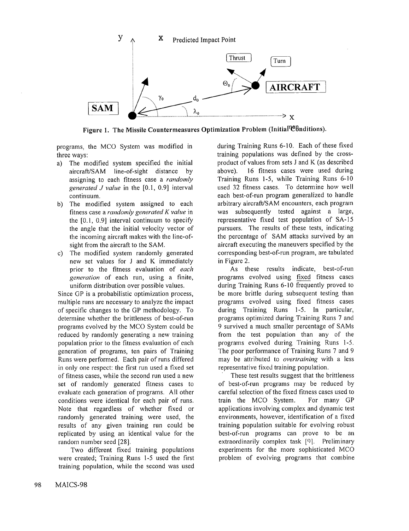

Figure 1. The Missile Countermeasures Optimization Problem (Initial<sup>nea</sup>Bnditions).

programs, the MCO System was modified in three ways:

- a) The modified system specified the initial aircraft/SAM line-of-sight distance by assigning to each fitness case a *randomly generated J value* in the [0.1, 0.9] interval continuum.
- b) The modified system assigned to each fitness case a *randomly generated K value* in the [0.1, 0.9] interval continuum to specify the angle that the initial velocity vector of the incoming aircraft makes with the line-ofsight from the aircraft to the SAM.
- c) The modified system randomly generated new set values for J and K immediately prior to the fitness evaluation of *each generation* of each run, using a finite, uniform distribution over possible values.

Since GP is a probabilistic optimization process, multiple runs are necessary to analyze the impact of specific changes to the GP methodology. To determine whether the brittleness of best-of-run programs evolved by the MCO System could be reduced by randomly generating a new training population prior to the fitness evaluation of each generation of programs, ten pairs of Training Runs were performed. Each pair of runs differed in only one respect: the first run used a fixed set of fitness cases, while the second run used a new set of randomly generated fitness cases to evaluate each generation of programs. All other conditions were identical for each pair of runs. Note that regardless of whether fixed or randomly generated training were used, the results of any given training run could be replicated by using an identical value for the random number seed [28].

Two different fixed training populations were created; Training Runs 1-5 used the first training population, while the second was used during Training Runs 6-10. Each of these fixed training populations was defined by the crossproduct of values from sets J and K (as described above). 16 fitness cases were used during Training Runs 1-5, while Training Runs 6-10 used 32 fitness cases. To determine how well each best-of-run program generalized to handle arbitrary aircraft/SAM encounters, each program was subsequently tested against a large, representative fixed test population of SA-15 pursuers. The results of these tests, indicating the percentage of SAM attacks survived by an aircraft executing the maneuvers specified by the corresponding best-of-run program, are tabulated in Figure 2.

As these results indicate, best-of-run programs evolved using fixed fitness cases during Training Runs 6-10 frequently proved to be more brittle during subsequent testing than programs evolved using fixed fitness cases during Training Runs 1-5. In particular, programs optimized during Training Runs 7 and 9 survived a much smaller percentage of SAMs from the test population than any of the programs evolved during Training Runs 1-5. The poor performance of Training Runs 7 and 9 may be attributed to *overtraining* with a less representative fixed training population.

These test results suggest that the brittleness of best-of-run programs may be reduced by careful selection of the fixed fitness cases used to train the MCO System. For many GP applications involving complex and dynamic test environments, however, identification of a fixed training population suitable for evolving robust best-of-run programs can prove to be an extraordinarily complex task [9]. Preliminary experiments for the more sophisticated MCO problem of evolving programs that combine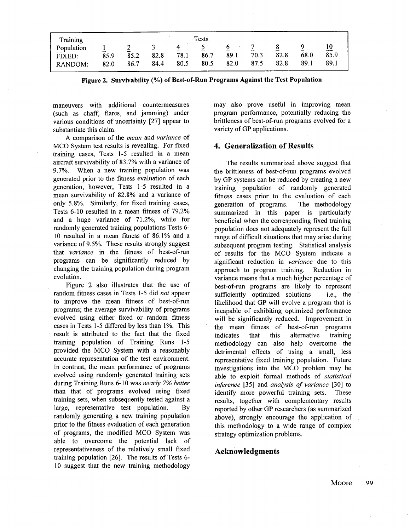| Training                        | Tests                                    |                   |                   |              |                                          |                        |                   |                                          |              |                    |
|---------------------------------|------------------------------------------|-------------------|-------------------|--------------|------------------------------------------|------------------------|-------------------|------------------------------------------|--------------|--------------------|
| Population<br>FIXED:<br>RANDOM: | $\overline{\phantom{0}}$<br>85.9<br>82.0 | ∼<br>85.2<br>86.7 | ້<br>82.8<br>84.4 | 78.1<br>80.5 | $\overline{\phantom{a}}$<br>86.7<br>80.5 | O<br>-<br>89.1<br>82.0 | -<br>70.3<br>87.5 | $\overline{\phantom{a}}$<br>82.8<br>82.8 | 68.0<br>89.1 | 10<br>85.9<br>89.1 |

**Figure 2. Survivability (%) of Best-of-Run Programs Against the Test Population**

maneuvers with additional countermeasures (such as chaff, flares, and jamming) under various conditions of uncertainty [27] appear to substantiate this claim.

A comparison of the *mean* and *variance* of MCO System test results is revealing. For fixed training cases, Tests 1-5 resulted in a mean aircraft survivability of 83.7% with a variance of 9.7%. When a new training population was generated prior to the fitness evaluation of each generation, however, Tests 1-5 resulted in a mean survivability of 82.8% and a variance of only 5.8%. Similarly, for fixed training cases, Tests 6-10 resulted in a mean fitness of 79.2% and a huge variance of 71.2%, while for randomly generated training populations Tests 6- 10 resulted in a mean fitness of 86.1% and a variance of 9.5%. These results strongly suggest that *variance* in the fitness of best-of-run programs can be significantly reduced by changing the training population during program evolution.

Figure 2 also illustrates that the use of random fitness eases in Tests 1-5 did *not* appear to improve the mean fitness of best-of-run programs; the average survivability of programs evolved using either fixed or random fitness cases in Tests 1-5 differed by less than 1%. This result is attributed to the fact that the fixed training population of Training Runs 1-5 provided the MCO System with a reasonably accurate representation of the test environment. In contrast, the mean performance of programs evolved using randomly generated training sets during Training Runs 6-10 was *nearly 7% better* than that of programs evolved using fixed training sets, when subsequently tested against a large, representative test population. By randomly generating a new training population prior to the fitness evaluation of each generation of programs, the modified MCO System was able to overcome the potential lack of representativeness of the relatively small fixed training population [26]. The results of Tests 6- 10 suggest that the new training methodology

may also prove useful in improving mean program performance, potentially reducing the brittleness of best-of-run programs evolved for a variety of GP applications.

### **4. Generalization of Results**

The results summarized above suggest that the brittleness of best-of-run programs evolved by GP systems can be reduced by creating a new training population of randomly generated fitness cases prior to the evaluation of each generation of programs. The methodology summarized in this paper is particularly beneficial when the corresponding fixed training population does not adequately represent the full range of difficult situations that may arise during subsequent program testing. Statistical analysis of results for the MCO System indicate a significant reduction in *variance* due to this approach to program training. Reduction in variance means that a much higher percentage of best-of-run programs are likely to represent sufficiently optimized solutions  $-$  i.e., the likelihood that GP will evolve a program that is incapable of exhibiting optimized performance will be significantly reduced. Improvement in the mean fitness of best-of-run programs indicates that this alternative training methodology can also help overcome the detrimental effects of using a small, less representative fixed training population. Future investigations into the MCO problem may be able to exploit formal methods of *statistical inference* [35] and *analysis of variance* [30] to identify more powerful training sets. These results, together with complementary results reported by other GP researchers (as summarized above), strongly encourage the application of this methodology to a wide range of complex strategy optimization problems.

# **Acknowledgments**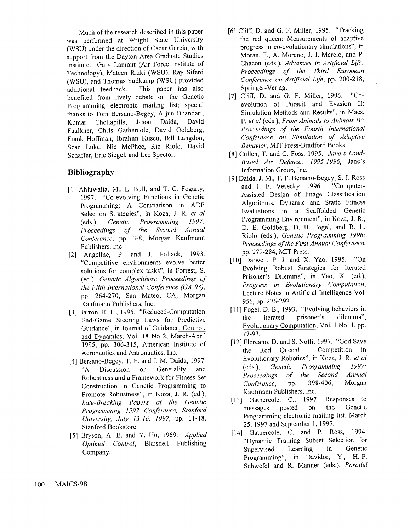Much of the research described in this paper was performed at Wright State University (WSU) under the direction of Oscar Garcia, with support from the Dayton Area Graduate Studies Institute. Gary Lamont (Air Force Institute of Technology), Mateen Rizki (WSU), Ray Siferd (WSU), and Thomas Sudkamp (WSU) provided additional feedback. This paper has also benefited from lively debate on the Genetic Programming electronic mailing list; special thanks to Tom Bersano-Begey, Arjun Bhandari, Kumar Chellapilla, Jason Daida, David Faulkner, Chris Gathercole, David Goldberg, Frank Hoffman, Ibrahim Kuscu, Bill Langdon, Sean Luke, Nic McPhee, Ric Riolo, David Schaffer, Eric Siegel, and Lee Spector.

# **Bibliography**

- [1] Ahluwalia, M., L. Bull, and T. C. Fogarty, 1997. "Co-evolving Functions in Genetic Programming: A Comparison in ADF Selection Strategies", in Koza, J. R. *et al* (eds.), *Genetic Programming 1997: Proceedings of the Second Annual Conference,* pp. 3-8, Morgan Kaufmann Publishers, Inc.
- [2] Angeline, P. and J. Pollack, 1993. "Competitive environments evolve better solutions for complex tasks", in Forrest, S. (ed.), *Genetic Algorithms: Proceedings of the Fifth International Conference (GA 93),* pp. 264-270, San Mateo, CA, Morgan Kaufmann Publishers, Inc.
- [3] Barron, R. L., 1995. "Reduced-Computation End-Game Steering Laws for Predictive Guidance", in Journal of Guidance, Control, and Dynamics, Vol. 18 No 2, March-April 1995, pp. 306-315, American Institute of Aeronautics and Astronautics, Inc.
- [4] Bersano-Begey, T. F. and J. M. Daida, 1997. "A Discussion on Generality and Robustness and a Framework for Fitness Set Construction in Genetic Programming to Promote Robustness", in Koza, J. R. (ed.), *Late-Breaking Papers at the Genetic Programming 1997 Conference, Stanford University, July 13-16, 1997*, pp. 11-18, Stanford Bookstore.
- [5] Bryson, A. E. and Y. Ho, 1969. *Applied Optimal Control,* Blaisdell Publishing Company.
- [6] Cliff, D. and G. F. Miller, 1995. "Tracking the red queen: Measurements of adaptive progress in co-evolutionary simulations", in Moran, F., A. Moreno, J. J. Merelo, and P. Chacon (eds.), *Advances in Artificial Life: Proceedings of the Third European Conference on Artificial Life,* pp. 200-218, Springer-Verlag.
- [7] Cliff, D. and G. F. Miller, 1996. "Coevolution of Pursuit and Evasion II: Simulation Methods and Results", in Maes, *P. et al* (eds.), *From Animals to Animats IV: Proceedings of the Fourth International Conference on Simulation of Adaptive Behm, ior,* MIT Press-Bradford Books.
- [8] Cullen, T. and C. Foss, 1995. *Jane's Land-Based Air Defence: 1995-1996,* Jane's Information Group, Inc.
- [9] Daida, J. M., T. F. Bersano-Begey, S. J. Ross and J. F. Vesecky, 1996. "Computer-Assisted Design of Image Classification Algorithms: Dynamic and Static Fitness Evaluations in a Scaffolded Genetic Programming Environment", in Koza, J. R., D. E. Goldberg, D. B. Fogel, and R. L. Riolo (eds.), *Genetic Programming 1996: Proceedings of the First Annual Conference,* pp. 279-284, MIT Press.
- [10] Darwen, P. J. and X. Yao, 1995. "On Evolving Robust Strategies for Iterated Prisoner's Dilemma", in Yao, X. (ed.), *Progress in Evolutionary Computation,* Lecture Notes in Artificial Intelligence Vol. 956, pp. 276-292.
- [11] Fogel, D. B., 1993. "Evolving behaviors in the iterated prisoner's Evolutionary Computation, Vol. 1 No. 1, pp. 77-97.
- [12] Floreano, D. and S. Nolfi, 1997. "God Save the Red Queen! Competition in Evolutionary Robotics", in Koza, J. R. *et al* (eds.), *Genetic Programming 1997: Proceedings of Conference,* pp. 398-406, Morgan Kaufmann Publishers, Inc.
- [13] Gathercole, C., 1997. Responses to messages posted on the Genetic Programming electronic mailing list, March 25, 1997 and September 1, 1997.
- [14] Gathercole, C. and P. Ross, 1994. "Dynamic Training Subset Selection for Supervised Learning in Genetic Programming", in Davidor, Y., H.-P. Schwefel and R. Manner (eds.), *Parallel*

100 MAICS-98